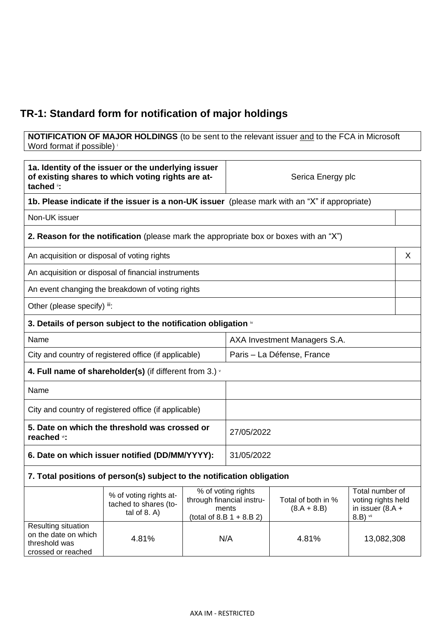## **TR-1: Standard form for notification of major holdings**

**NOTIFICATION OF MAJOR HOLDINGS** (to be sent to the relevant issuer and to the FCA in Microsoft Word format if possible)

| 1a. Identity of the issuer or the underlying issuer<br>of existing shares to which voting rights are at-<br>tached ": |                                                                                               |            | Serica Energy plc                                                                       |                                     |                                                                           |
|-----------------------------------------------------------------------------------------------------------------------|-----------------------------------------------------------------------------------------------|------------|-----------------------------------------------------------------------------------------|-------------------------------------|---------------------------------------------------------------------------|
|                                                                                                                       | 1b. Please indicate if the issuer is a non-UK issuer (please mark with an "X" if appropriate) |            |                                                                                         |                                     |                                                                           |
| Non-UK issuer                                                                                                         |                                                                                               |            |                                                                                         |                                     |                                                                           |
|                                                                                                                       | 2. Reason for the notification (please mark the appropriate box or boxes with an "X")         |            |                                                                                         |                                     |                                                                           |
| An acquisition or disposal of voting rights                                                                           |                                                                                               |            |                                                                                         |                                     | X                                                                         |
|                                                                                                                       | An acquisition or disposal of financial instruments                                           |            |                                                                                         |                                     |                                                                           |
|                                                                                                                       | An event changing the breakdown of voting rights                                              |            |                                                                                         |                                     |                                                                           |
| Other (please specify) iii:                                                                                           |                                                                                               |            |                                                                                         |                                     |                                                                           |
|                                                                                                                       | 3. Details of person subject to the notification obligation *                                 |            |                                                                                         |                                     |                                                                           |
| Name                                                                                                                  |                                                                                               |            | AXA Investment Managers S.A.                                                            |                                     |                                                                           |
|                                                                                                                       | City and country of registered office (if applicable)                                         |            | Paris - La Défense, France                                                              |                                     |                                                                           |
| 4. Full name of shareholder(s) (if different from 3.) $\cdot$                                                         |                                                                                               |            |                                                                                         |                                     |                                                                           |
| Name                                                                                                                  |                                                                                               |            |                                                                                         |                                     |                                                                           |
| City and country of registered office (if applicable)                                                                 |                                                                                               |            |                                                                                         |                                     |                                                                           |
| 5. Date on which the threshold was crossed or<br>reached vi:                                                          |                                                                                               | 27/05/2022 |                                                                                         |                                     |                                                                           |
| 6. Date on which issuer notified (DD/MM/YYYY):                                                                        |                                                                                               | 31/05/2022 |                                                                                         |                                     |                                                                           |
|                                                                                                                       | 7. Total positions of person(s) subject to the notification obligation                        |            |                                                                                         |                                     |                                                                           |
|                                                                                                                       | % of voting rights at-<br>tached to shares (to-<br>tal of $8. A$ )                            |            | % of voting rights<br>through financial instru-<br>ments<br>(total of 8.B $1 + 8.B 2$ ) | Total of both in %<br>$(8.A + 8.B)$ | Total number of<br>voting rights held<br>in issuer $(8.A +$<br>$8.B)$ vii |
| Resulting situation<br>on the date on which<br>threshold was<br>crossed or reached                                    | 4.81%                                                                                         | N/A        |                                                                                         | 4.81%                               | 13,082,308                                                                |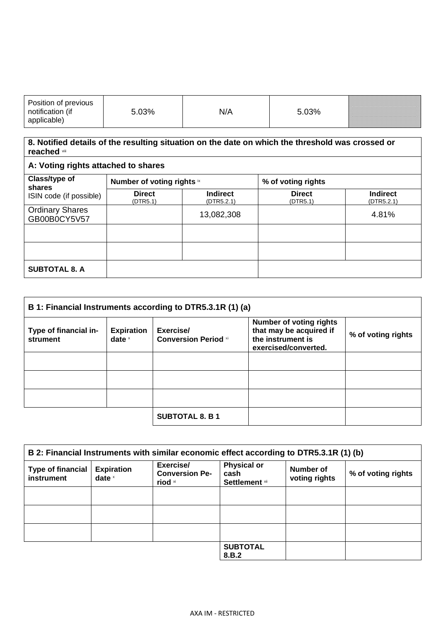| Position of previous<br>$\cdot\cdot\cdot$<br>ılicahle | 73% | N/A | 73% | <u> Karl Lindon va karl sama sai sering karl salah pada tahun 1989. Bagi dalam karl salah pada tahun 1980 karl s</u> |
|-------------------------------------------------------|-----|-----|-----|----------------------------------------------------------------------------------------------------------------------|
|-------------------------------------------------------|-----|-----|-----|----------------------------------------------------------------------------------------------------------------------|

## **8. Notified details of the resulting situation on the date on which the threshold was crossed or reached** viii

| A: Voting rights attached to shares                |                            |                               |                           |                               |
|----------------------------------------------------|----------------------------|-------------------------------|---------------------------|-------------------------------|
| Class/type of<br>shares<br>ISIN code (if possible) | Number of voting rights ix |                               | % of voting rights        |                               |
|                                                    | <b>Direct</b><br>(DTR5.1)  | <b>Indirect</b><br>(DTR5.2.1) | <b>Direct</b><br>(DTR5.1) | <b>Indirect</b><br>(DTR5.2.1) |
| <b>Ordinary Shares</b><br>GB00B0CY5V57             |                            | 13,082,308                    |                           | 4.81%                         |
|                                                    |                            |                               |                           |                               |
|                                                    |                            |                               |                           |                               |
| <b>SUBTOTAL 8. A</b>                               |                            |                               |                           |                               |

| B 1: Financial Instruments according to DTR5.3.1R (1) (a) |                               |                                          |                                                                                                        |                    |
|-----------------------------------------------------------|-------------------------------|------------------------------------------|--------------------------------------------------------------------------------------------------------|--------------------|
| Type of financial in-<br>strument                         | <b>Expiration</b><br>date $x$ | Exercise/<br><b>Conversion Period xi</b> | <b>Number of voting rights</b><br>that may be acquired if<br>the instrument is<br>exercised/converted. | % of voting rights |
|                                                           |                               |                                          |                                                                                                        |                    |
|                                                           |                               |                                          |                                                                                                        |                    |
|                                                           |                               |                                          |                                                                                                        |                    |
|                                                           |                               | <b>SUBTOTAL 8. B 1</b>                   |                                                                                                        |                    |

| B 2: Financial Instruments with similar economic effect according to DTR5.3.1R (1) (b) |                               |                                               |                                                     |                            |                    |
|----------------------------------------------------------------------------------------|-------------------------------|-----------------------------------------------|-----------------------------------------------------|----------------------------|--------------------|
| <b>Type of financial</b><br>instrument                                                 | <b>Expiration</b><br>date $x$ | Exercise/<br><b>Conversion Pe-</b><br>riod xi | <b>Physical or</b><br>cash<br><b>Settlement</b> xii | Number of<br>voting rights | % of voting rights |
|                                                                                        |                               |                                               |                                                     |                            |                    |
|                                                                                        |                               |                                               |                                                     |                            |                    |
|                                                                                        |                               |                                               |                                                     |                            |                    |
|                                                                                        |                               |                                               | <b>SUBTOTAL</b><br>8.B.2                            |                            |                    |